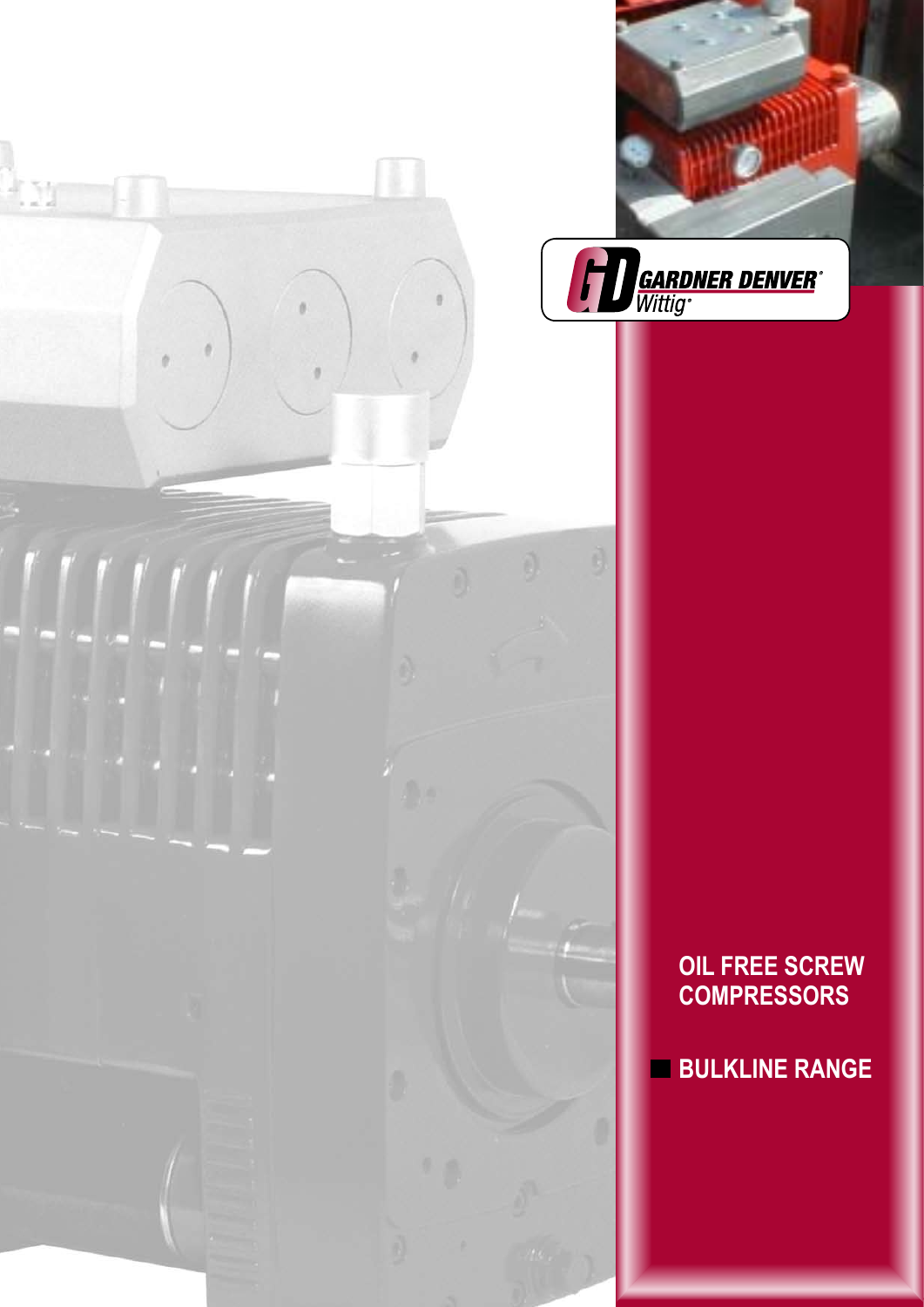



**OIL FREE SCREW COMPRESSORS**

**BULKLINE RANGE**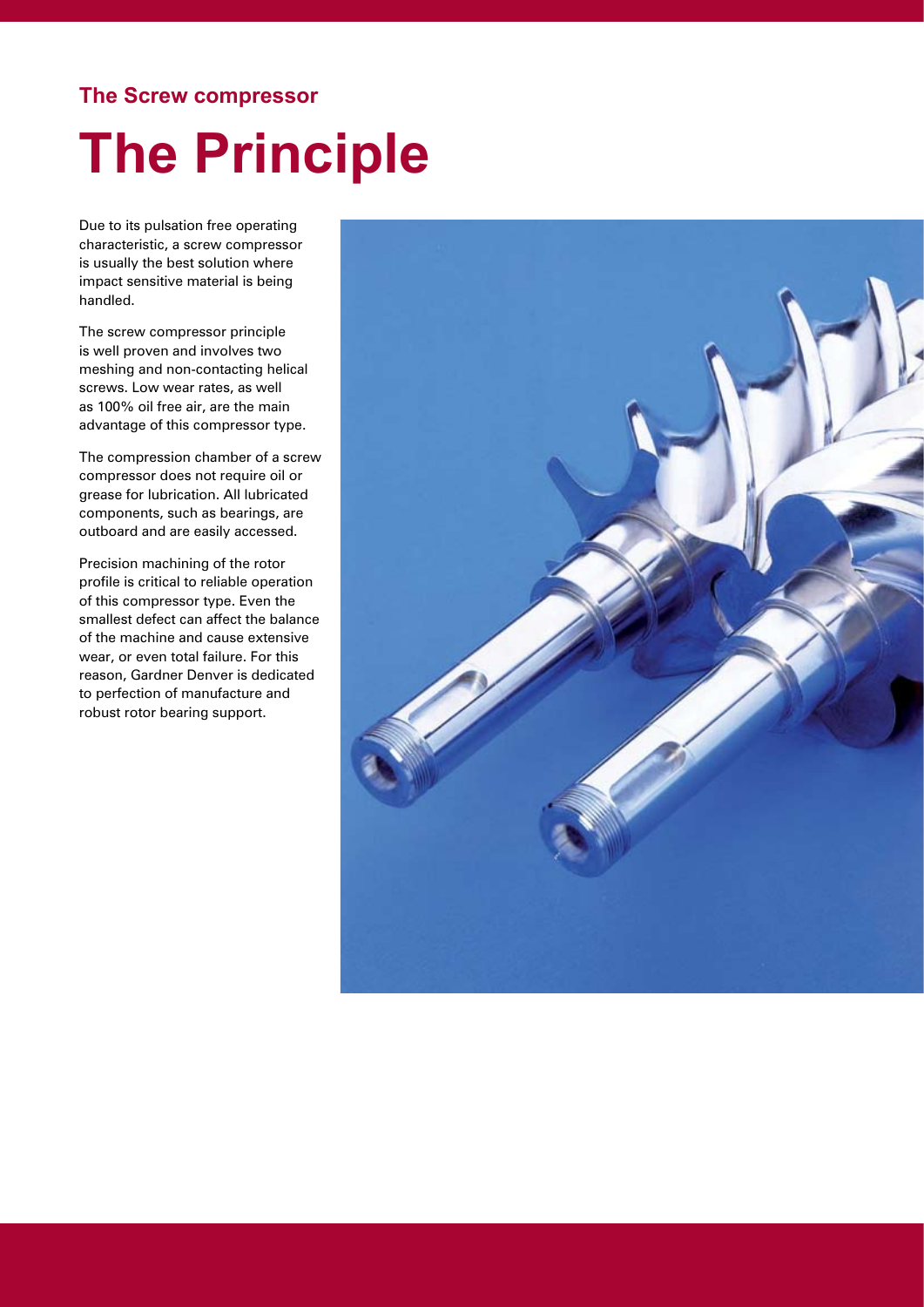#### **The Screw compressor**

### **The Principle**

Due to its pulsation free operating characteristic, a screw compressor is usually the best solution where impact sensitive material is being handled.

The screw compressor principle is well proven and involves two meshing and non-contacting helical screws. Low wear rates, as well as 100% oil free air, are the main advantage of this compressor type.

The compression chamber of a screw compressor does not require oil or grease for lubrication. All lubricated components, such as bearings, are outboard and are easily accessed.

Precision machining of the rotor profile is critical to reliable operation of this compressor type. Even the smallest defect can affect the balance of the machine and cause extensive wear, or even total failure. For this reason, Gardner Denver is dedicated to perfection of manufacture and robust rotor bearing support.

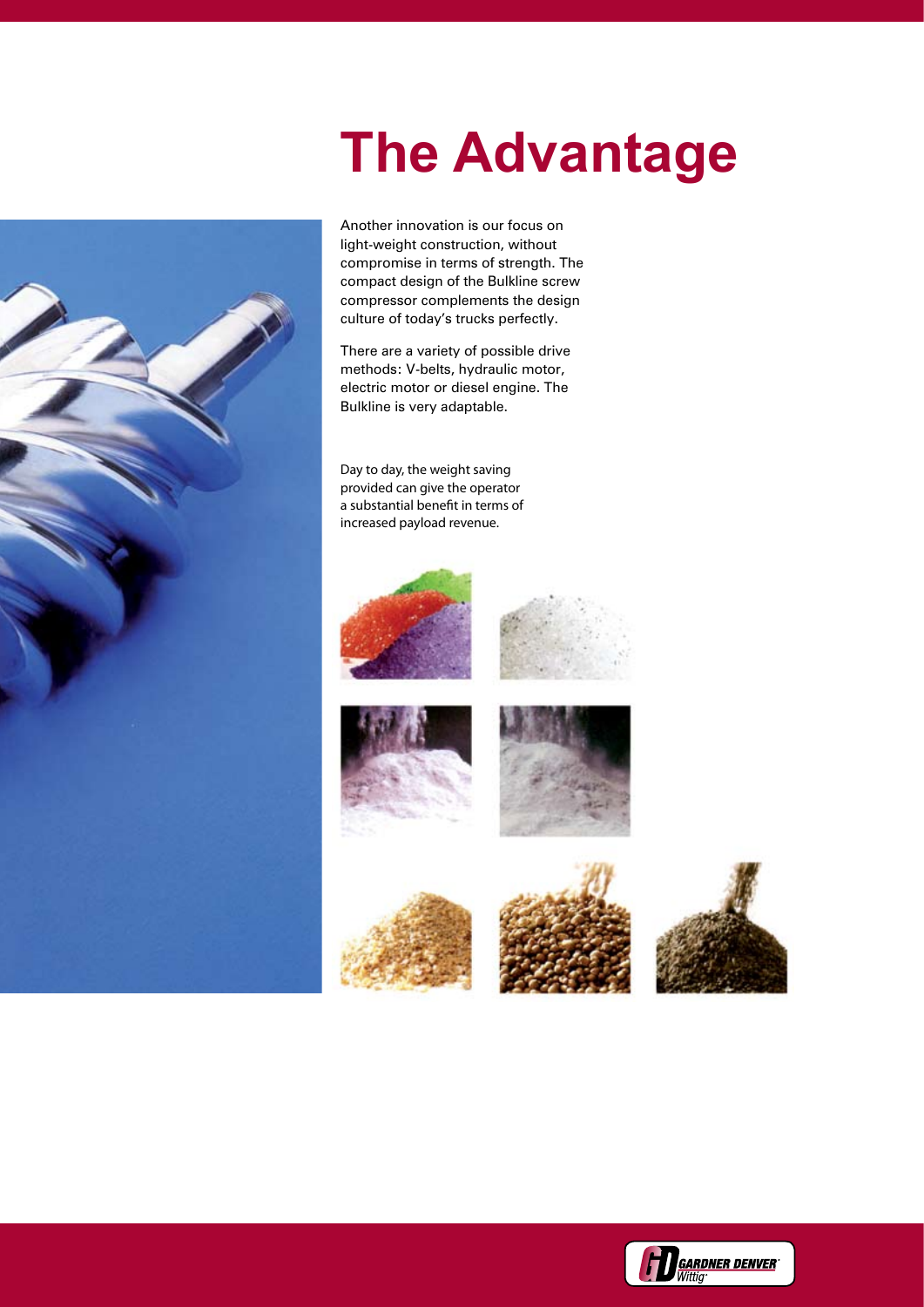### **The Advantage**

Another innovation is our focus on light-weight construction, without compromise in terms of strength. The compact design of the Bulkline screw compressor complements the design culture of today's trucks perfectly.

There are a variety of possible drive methods: V-belts, hydraulic motor, electric motor or diesel engine. The Bulkline is very adaptable.

Day to day, the weight saving provided can give the operator a substantial benefit in terms of increased payload revenue.

















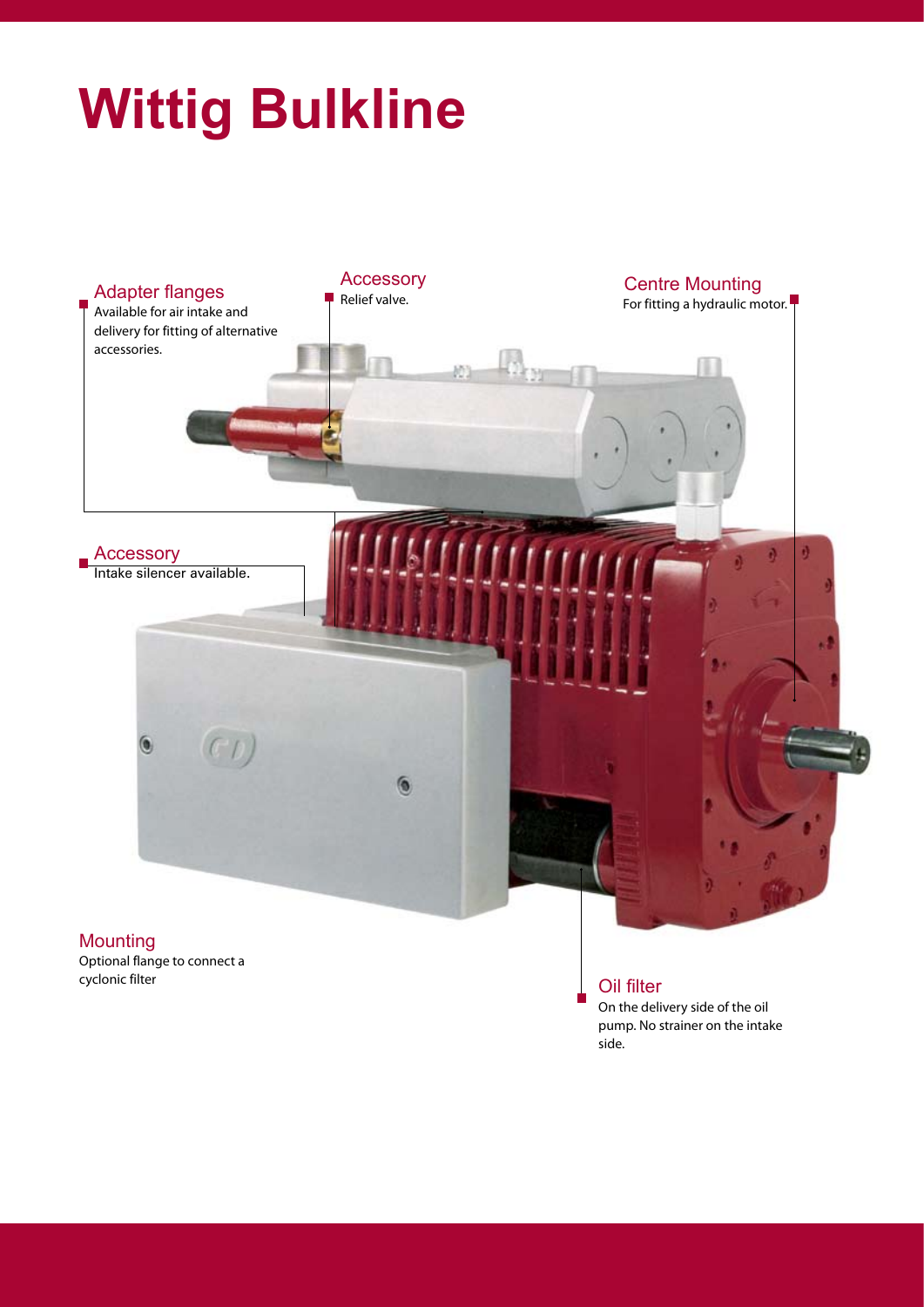## **Wittig Bulkline**



Optional flange to connect a cyclonic filter **Contract Contract Contract Contract Contract Contract Contract Contract Contract Contract Contract Contract Contract Contract Contract Contract Contract Contract Contract Contract Contract Contract Contrac** 

On the delivery side of the oil pump. No strainer on the intake side.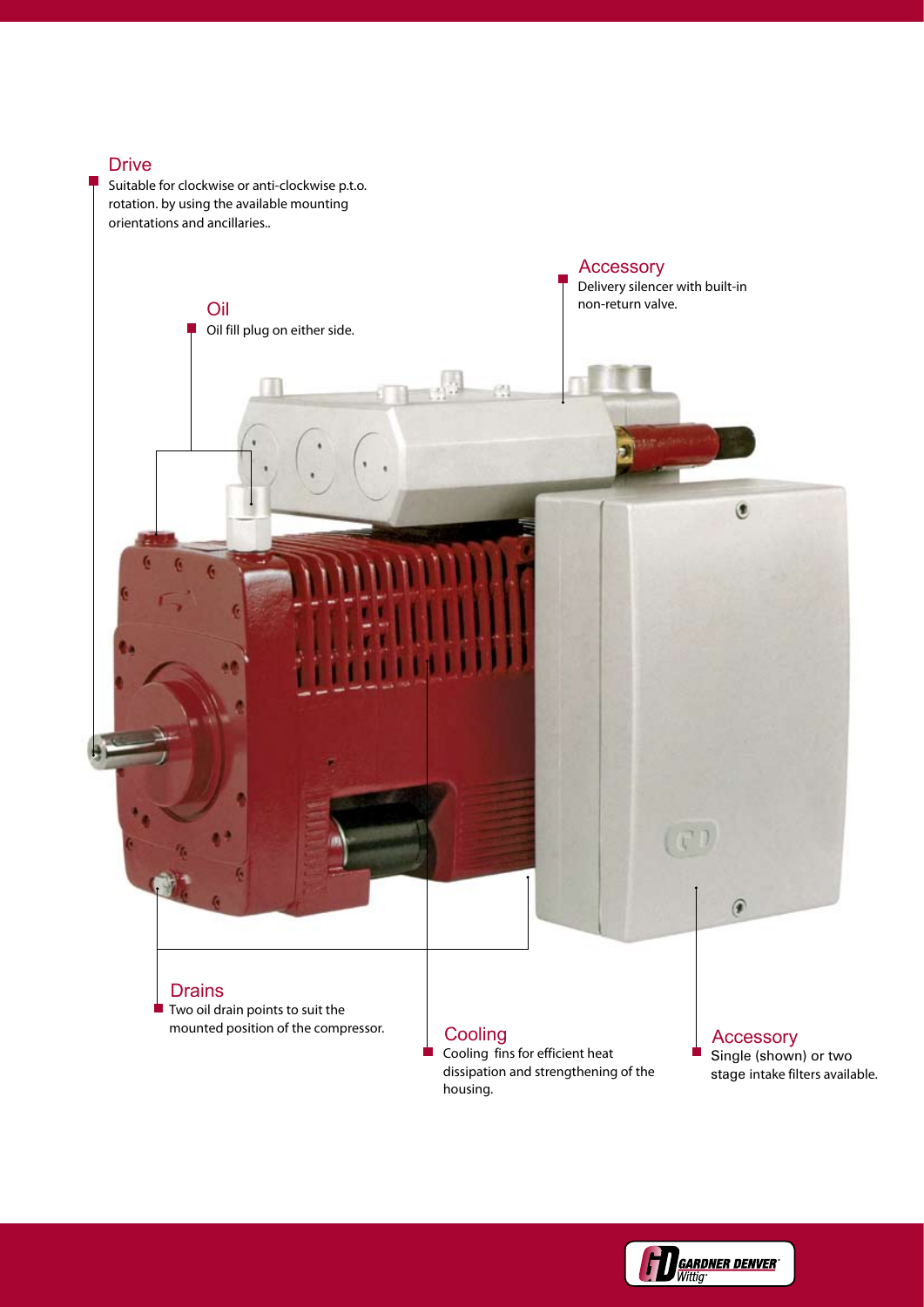#### Drive

Suitable for clockwise or anti-clockwise p.t.o. rotation. by using the available mounting orientations and ancillaries..



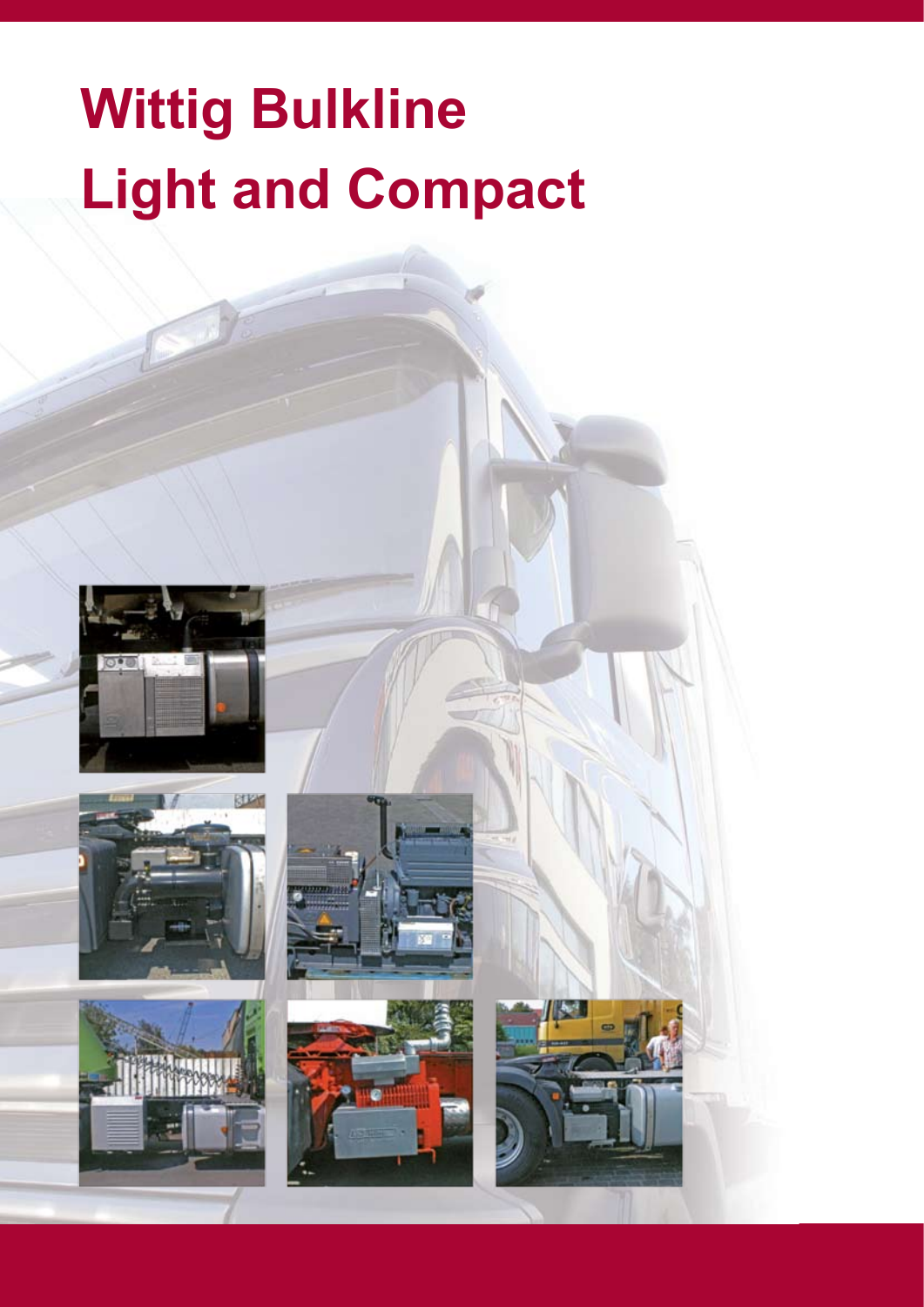# **Wittig Bulkline Light and Compact**











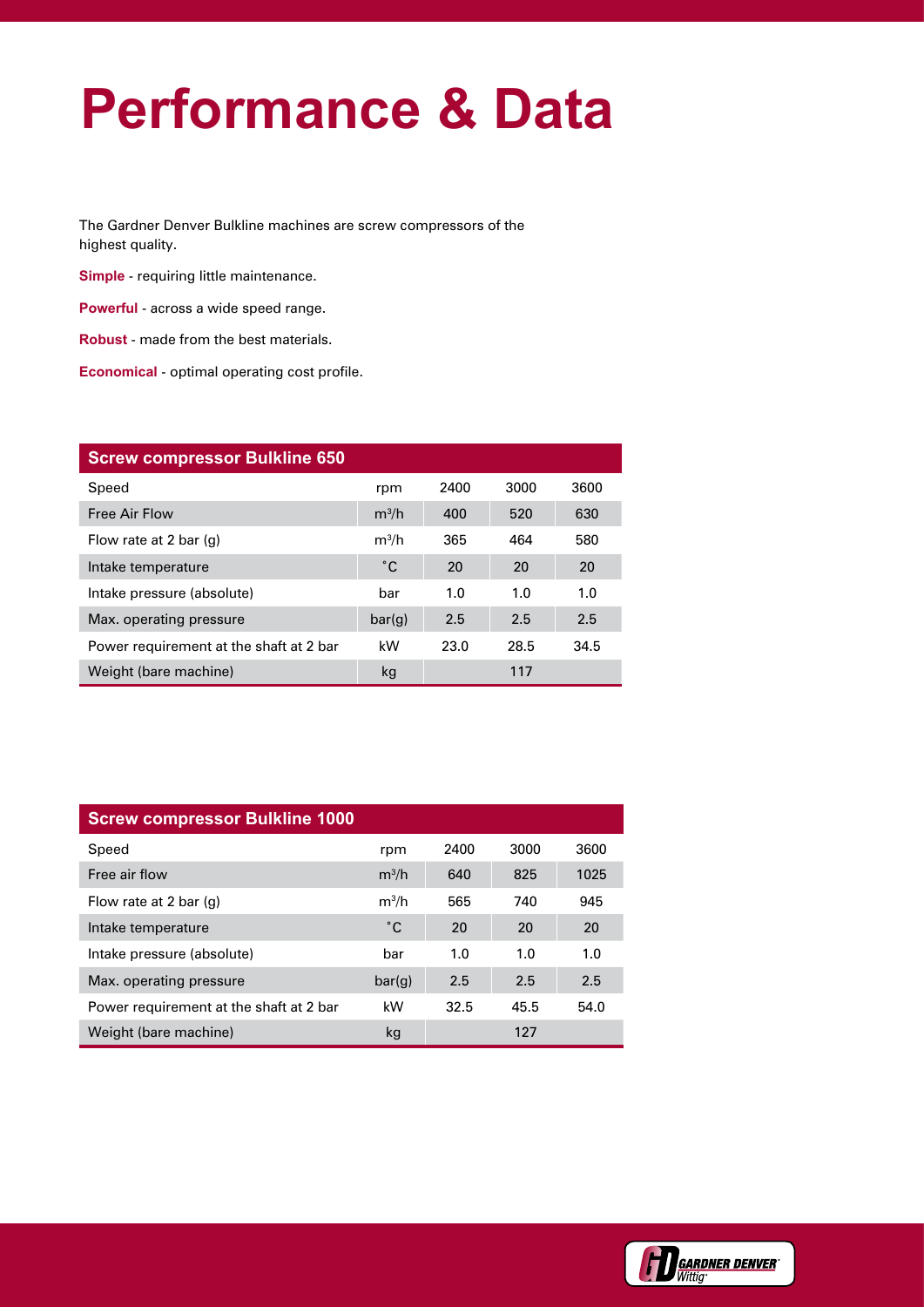### **Performance & Data**

The Gardner Denver Bulkline machines are screw compressors of the highest quality.

**Simple** - requiring little maintenance.

**Powerful** - across a wide speed range.

**Robust** - made from the best materials.

**Economical** - optimal operating cost profile.

| <b>Screw compressor Bulkline 650</b>    |         |      |      |      |
|-----------------------------------------|---------|------|------|------|
| Speed                                   | rpm     | 2400 | 3000 | 3600 |
| <b>Free Air Flow</b>                    | $m^3/h$ | 400  | 520  | 630  |
| Flow rate at 2 bar $(q)$                | $m^3/h$ | 365  | 464  | 580  |
| Intake temperature                      | °С      | 20   | 20   | 20   |
| Intake pressure (absolute)              | bar     | 1.0  | 1.0  | 1.0  |
| Max. operating pressure                 | bar(g)  | 2.5  | 2.5  | 2.5  |
| Power requirement at the shaft at 2 bar | kW      | 23.0 | 28.5 | 34.5 |
| Weight (bare machine)                   | kg      |      | 117  |      |

| <b>Screw compressor Bulkline 1000</b>   |              |      |      |      |  |  |
|-----------------------------------------|--------------|------|------|------|--|--|
| Speed                                   | rpm          | 2400 | 3000 | 3600 |  |  |
| Free air flow                           | $m^3/h$      | 640  | 825  | 1025 |  |  |
| Flow rate at 2 bar $(q)$                | $m^3/h$      | 565  | 740  | 945  |  |  |
| Intake temperature                      | $^{\circ}$ C | 20   | 20   | 20   |  |  |
| Intake pressure (absolute)              | bar          | 1.0  | 1.0  | 1.0  |  |  |
| Max. operating pressure                 | bar(g)       | 2.5  | 2.5  | 2.5  |  |  |
| Power requirement at the shaft at 2 bar | kW           | 32.5 | 45.5 | 54.0 |  |  |
| Weight (bare machine)                   | kg           |      | 127  |      |  |  |

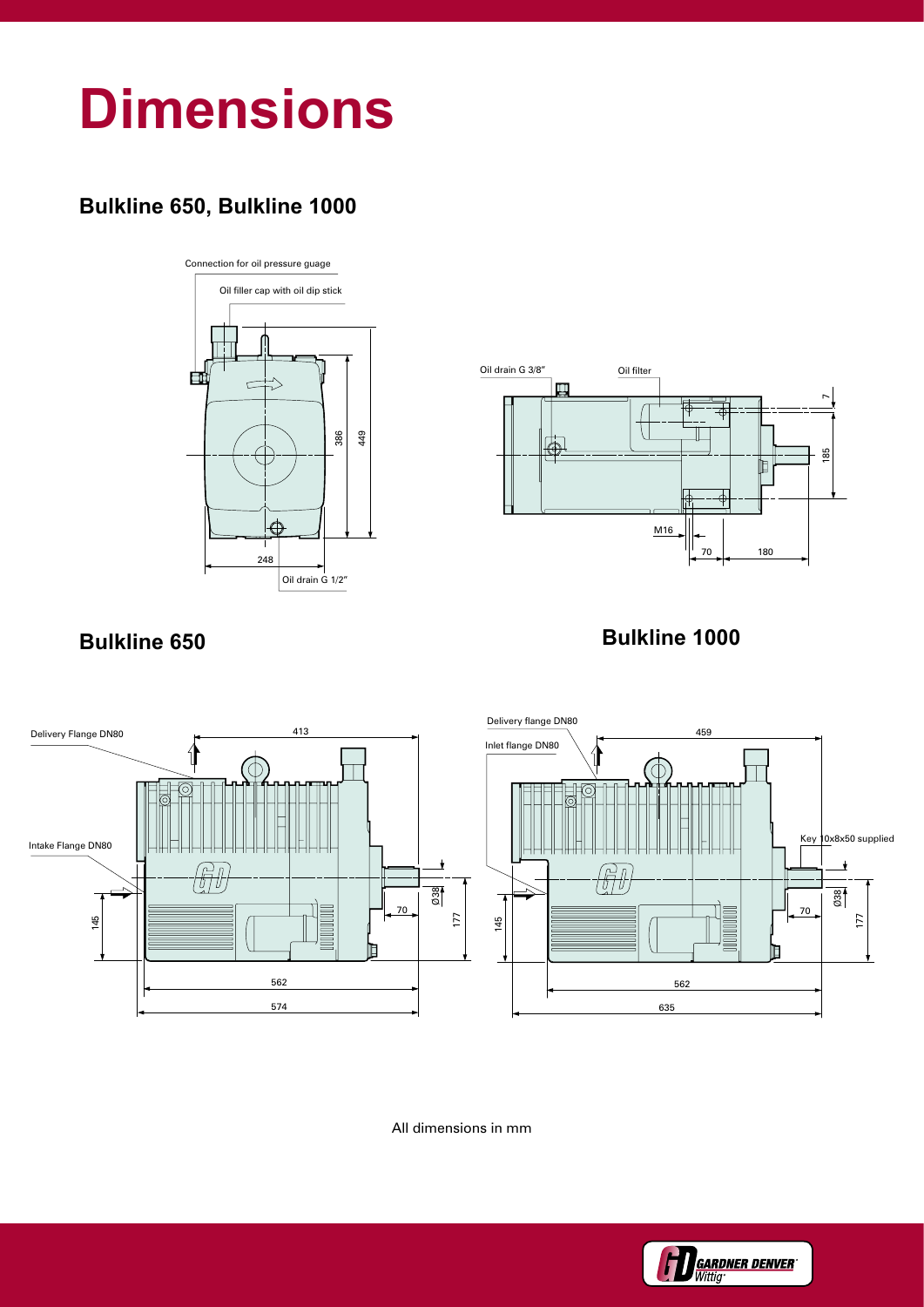### **Dimensions**

### **Bulkline 650, Bulkline 1000**





#### **Bulkline 650 Bulkline 1000**



All dimensions in mm

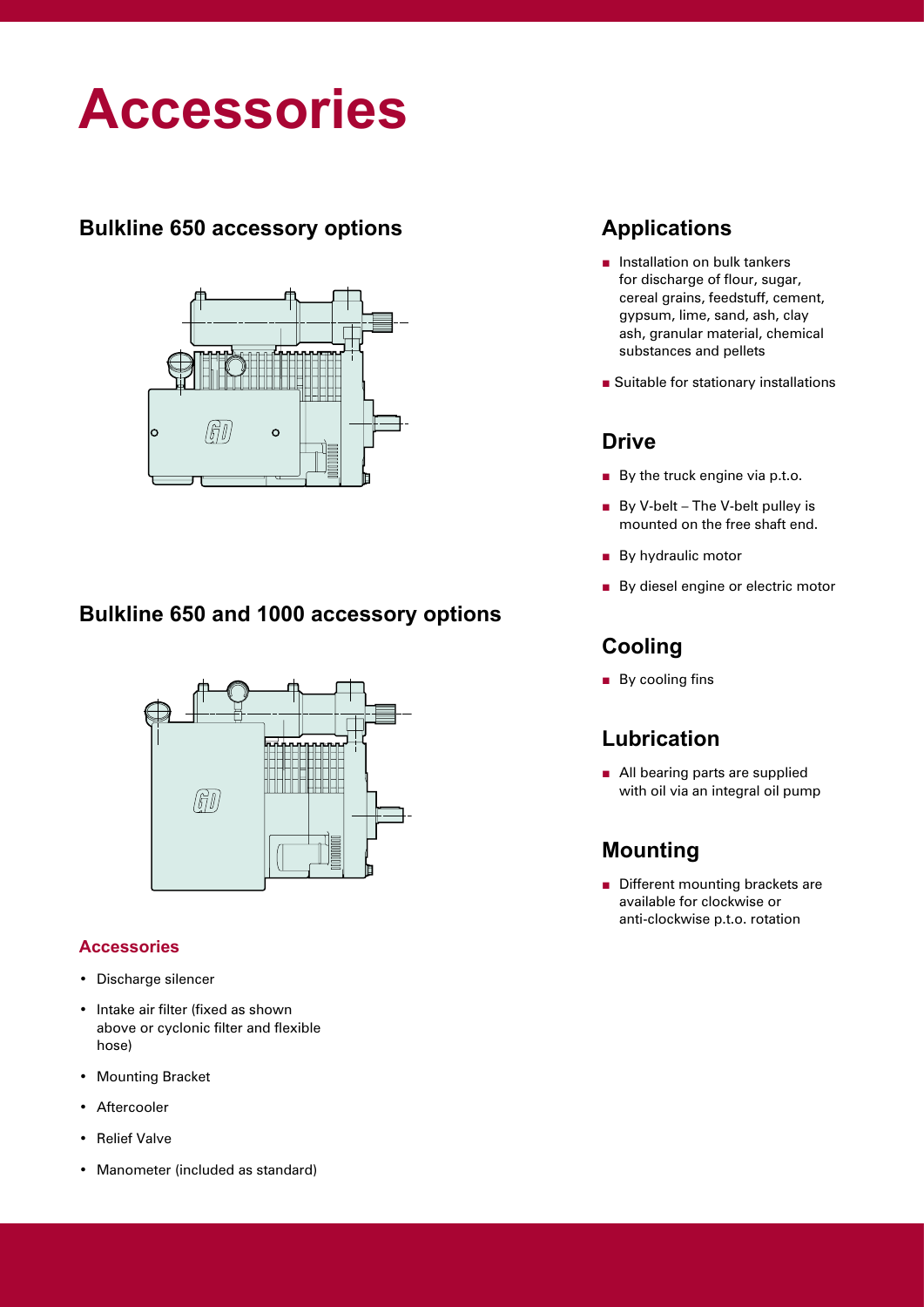### **Accessories**

#### **Bulkline 650 accessory options**



#### **Bulkline 650 and 1000 accessory options**



#### **Accessories**

- Discharge silencer
- Intake air filter (fixed as shown above or cyclonic filter and flexible hose)
- Mounting Bracket
- Aftercooler
- Relief Valve
- Manometer (included as standard)

#### **Applications**

- Installation on bulk tankers for discharge of flour, sugar, cereal grains, feedstuff, cement, gypsum, lime, sand, ash, clay ash, granular material, chemical substances and pellets
- Suitable for stationary installations

#### **Drive**

- By the truck engine via p.t.o.
- By V-belt The V-belt pulley is mounted on the free shaft end.
- By hydraulic motor
- By diesel engine or electric motor

#### **Cooling**

■ By cooling fins

#### **Lubrication**

■ All bearing parts are supplied with oil via an integral oil pump

#### **Mounting**

■ Different mounting brackets are available for clockwise or anti-clockwise p.t.o. rotation